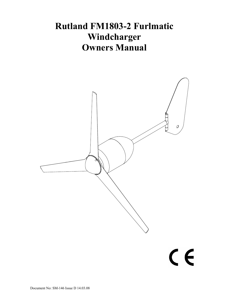# **Rutland FM1803-2 Furlmatic Windcharger Owners Manual**

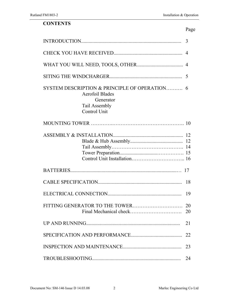#### **CONTENTS**

|  |  | Page |
|--|--|------|
|  |  |      |

|                                                                                                                     | 3              |
|---------------------------------------------------------------------------------------------------------------------|----------------|
|                                                                                                                     | $\overline{4}$ |
|                                                                                                                     | 4              |
|                                                                                                                     |                |
| SYSTEM DESCRIPTION & PRINCIPLE OF OPERATION<br><b>Aerofoil Blades</b><br>Generator<br>Tail Assembly<br>Control Unit | 6              |
|                                                                                                                     | 10             |
|                                                                                                                     |                |
|                                                                                                                     |                |
|                                                                                                                     | 18             |
|                                                                                                                     | 19             |
| FITTING GENERATOR TO THE TOWER                                                                                      | 20<br>20       |
|                                                                                                                     | 21             |
|                                                                                                                     | 22             |
|                                                                                                                     | 23             |
|                                                                                                                     | 24             |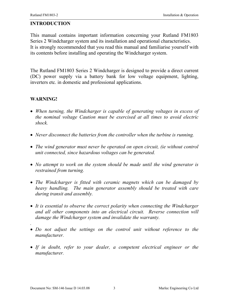#### **INTRODUCTION**

This manual contains important information concerning your Rutland FM1803 Series 2 Windcharger system and its installation and operational characteristics. It is strongly recommended that you read this manual and familiarise yourself with its contents before installing and operating the Windcharger system.

The Rutland FM1803 Series 2 Windcharger is designed to provide a direct current (DC) power supply via a battery bank for low voltage equipment, lighting, inverters etc. in domestic and professional applications.

#### **WARNING!**

*.* 

- *When turning, the Windcharger is capable of generating voltages in excess of the nominal voltage Caution must be exercised at all times to avoid electric shock.*
- *Never disconnect the batteries from the controller when the turbine is running.*
- *The wind generator must never be operated on open circuit, (ie without control unit connected, since hazardous voltages can be generated.*
- *No attempt to work on the system should be made until the wind generator is restrained from turning.*
- *The Windcharger is fitted with ceramic magnets which can be damaged by heavy handling. The main generator assembly should be treated with care during transit and assembly.*
- *It is essential to observe the correct polarity when connecting the Windcharger and all other components into an electrical circuit. Reverse connection will damage the Windcharger system and invalidate the warranty.*
- *Do not adjust the settings on the control unit without reference to the manufacturer.*
- *If in doubt, refer to your dealer, a competent electrical engineer or the manufacturer.*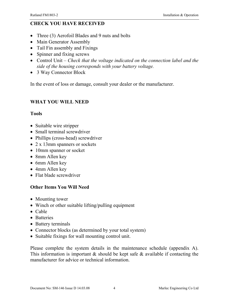# **CHECK YOU HAVE RECEIVED**

- Three (3) Aerofoil Blades and 9 nuts and bolts
- Main Generator Assembly
- Tail Fin assembly and Fixings
- Spinner and fixing screws
- Control Unit *Check that the voltage indicated on the connection label and the side of the housing corresponds with your battery voltage.*
- 3 Way Connector Block

In the event of loss or damage, consult your dealer or the manufacturer.

#### **WHAT YOU WILL NEED**

#### **Tools**

- Suitable wire stripper
- Small terminal screwdriver
- Phillips (cross-head) screwdriver
- 2 x 13mm spanners or sockets
- 10mm spanner or socket
- 8mm Allen key
- 6mm Allen key
- 4mm Allen key
- Flat blade screwdriver

# **Other Items You Will Need**

- Mounting tower
- Winch or other suitable lifting/pulling equipment
- Cable
- Batteries
- Battery terminals
- Connector blocks (as determined by your total system)
- Suitable fixings for wall mounting control unit.

Please complete the system details in the maintenance schedule (appendix A). This information is important  $\&$  should be kept safe  $\&$  available if contacting the manufacturer for advice or technical information.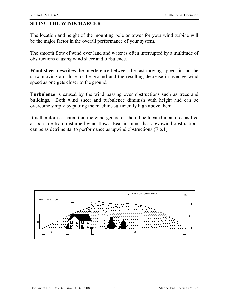#### **SITING THE WINDCHARGER**

The location and height of the mounting pole or tower for your wind turbine will be the major factor in the overall performance of your system.

The smooth flow of wind over land and water is often interrupted by a multitude of obstructions causing wind sheer and turbulence.

**Wind sheer** describes the interference between the fast moving upper air and the slow moving air close to the ground and the resulting decrease in average wind speed as one gets closer to the ground.

**Turbulence** is caused by the wind passing over obstructions such as trees and buildings. Both wind sheer and turbulence diminish with height and can be overcome simply by putting the machine sufficiently high above them.

It is therefore essential that the wind generator should be located in an area as free as possible from disturbed wind flow. Bear in mind that downwind obstructions can be as detrimental to performance as upwind obstructions (Fig.1).

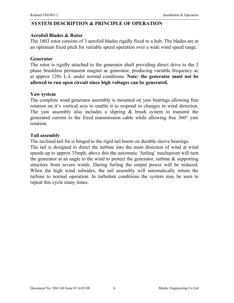#### **SYSTEM DESCRIPTION & PRINCIPLE OF OPERATION**

#### **Aerofoil Blades & Rotor**

The 1803 rotor consists of 3 aerofoil blades rigidly fixed to a hub. The blades are at an optimum fixed pitch for variable speed operation over a wide wind speed range.

#### **Generator**

The rotor is rigidly attached to the generator shaft providing direct drive to the 3 phase brushless permanent magnet ac generator, producing variable frequency ac at approx 120v L-L under normal conditions. **Note: the generator must not be allowed to run open circuit since high voltages can be generated.**

#### **Yaw system**

The complete wind generator assembly is mounted on yaw bearings allowing free rotation on it's vertical axis to enable it to respond to changes in wind direction. The yaw assembly also includes a slipring  $\&$  brush system to transmit the generated current to the fixed transmission cable while allowing free 360° yaw rotation.

#### **Tail assembly**

The inclined tail fin is hinged to the rigid tail boom on durable sleeve bearings.

The tail is designed to direct the turbine into the main direction of wind at wind speeds up to approx 35mph, above this the automatic 'furling' mechanism will turn the generator at an angle to the wind to protect the generator, turbine  $\&$  supporting structure from severe winds. During furling the output power will be reduced. When the high wind subsides, the tail assembly will automatically return the turbine to normal operation. In turbulent conditions the system may be seen to repeat this cycle many times.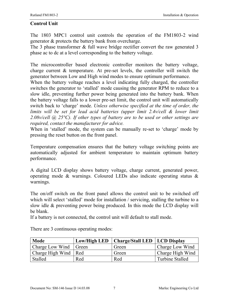#### **Control Unit**

The 1803 MPC1 control unit controls the operation of the FM1803-2 wind generator & protects the battery bank from overcharge.

The 3 phase transformer & full wave bridge rectifier convert the raw generated 3 phase ac to dc at a level corresponding to the battery voltage.

The microcontroller based electronic controller monitors the battery voltage, charge current & temperature. At pre-set levels, the controller will switch the generator between Low and High wind modes to ensure optimum performance.

When the battery voltage reaches a level indicating fully charged, the controller switches the generator to 'stalled' mode causing the generator RPM to reduce to a slow idle, preventing further power being generated into the battery bank. When the battery voltage falls to a lower pre-set limit, the control unit will automatically switch back to 'charge' mode. *Unless otherwise specified at the time of order, the*  limits will be set for lead acid batteries (upper limit 2.4v/cell & lower limit *2.08v/cell @ 25°C). If other types of battery are to be used or other settings are required, contact the manufacturer for advice.*

When in 'stalled' mode, the system can be manually re-set to 'charge' mode by pressing the reset button on the front panel.

Temperature compensation ensures that the battery voltage switching points are automatically adjusted for ambient temperature to maintain optimum battery performance.

A digital LCD display shows battery voltage, charge current, generated power, operating mode & warnings. Coloured LEDs also indicate operating status & warnings.

The on/off switch on the front panel allows the control unit to be switched off which will select 'stalled' mode for installation / servicing, stalling the turbine to a slow idle & preventing power being produced. In this mode the LCD display will be blank.

If a battery is not connected, the control unit will default to stall mode.

| <b>Mode</b>             | Low/High LED | Charge/Stall LED   LCD Display |                        |
|-------------------------|--------------|--------------------------------|------------------------|
| Charge Low Wind   Green |              | Green                          | Charge Low Wind        |
| Charge High Wind   Red  |              | Green                          | Charge High Wind       |
| Stalled                 | Red          | Red                            | <b>Turbine Stalled</b> |

There are 3 continuous operating modes: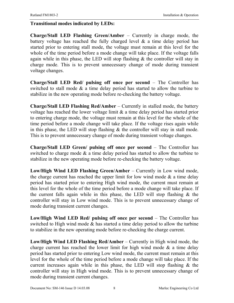#### **Transitional modes indicated by LEDs:**

**Charge/Stall LED Flashing Green/Amber** – Currently in charge mode, the battery voltage has reached the fully charged level  $\&$  a time delay period has started prior to entering stall mode, the voltage must remain at this level for the whole of the time period before a mode change will take place. If the voltage falls again while in this phase, the LED will stop flashing  $\&$  the controller will stay in charge mode. This is to prevent unnecessary change of mode during transient voltage changes.

**Charge/Stall LED Red/ pulsing off once per second** – The Controller has switched to stall mode  $\&$  a time delay period has started to allow the turbine to stabilize in the new operating mode before re-checking the battery voltage.

**Charge/Stall LED Flashing Red/Amber** – Currently in stalled mode, the battery voltage has reached the lower voltage limit & a time delay period has started prior to entering charge mode, the voltage must remain at this level for the whole of the time period before a mode change will take place. If the voltage rises again while in this phase, the LED will stop flashing  $\&$  the controller will stay in stall mode. This is to prevent unnecessary change of mode during transient voltage changes.

**Charge/Stall LED Green/ pulsing off once per second** – The Controller has switched to charge mode  $\&$  a time delay period has started to allow the turbine to stabilize in the new operating mode before re-checking the battery voltage.

**Low/High Wind LED Flashing Green/Amber** – Currently in Low wind mode, the charge current has reached the upper limit for low wind mode  $\&$  a time delay period has started prior to entering High wind mode, the current must remain at this level for the whole of the time period before a mode change will take place. If the current falls again while in this phase, the LED will stop flashing  $\&$  the controller will stay in Low wind mode. This is to prevent unnecessary change of mode during transient current changes.

**Low/High Wind LED Red/ pulsing off once per second** – The Controller has switched to High wind mode  $\&$  has started a time delay period to allow the turbine to stabilize in the new operating mode before re-checking the charge current.

**Low/High Wind LED Flashing Red/Amber** – Currently in High wind mode, the charge current has reached the lower limit for high wind mode  $\&$  a time delay period has started prior to entering Low wind mode, the current must remain at this level for the whole of the time period before a mode change will take place. If the current increases again while in this phase, the LED will stop flashing  $\&$  the controller will stay in High wind mode. This is to prevent unnecessary change of mode during transient current changes.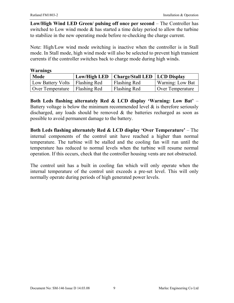**Low/High Wind LED Green/ pulsing off once per second** – The Controller has switched to Low wind mode & has started a time delay period to allow the turbine to stabilize in the new operating mode before re-checking the charge current.

Note: High/Low wind mode switching is inactive when the controller is in Stall mode. In Stall mode, high wind mode will also be selected to prevent high transient currents if the controller switches back to charge mode during high winds.

| <b>Warnings</b>   |                     |                                |                  |
|-------------------|---------------------|--------------------------------|------------------|
| Mode              | Low/High LED        | Charge/Stall LED   LCD Display |                  |
| Low Battery Volts | <b>Flashing Red</b> | Flashing Red                   | Warning: Low Bat |
| Over Temperature  | Flashing Red        | Flashing Red                   | Over Temperature |

**Both Leds flashing alternately Red & LCD display 'Warning: Low Bat'** – Battery voltage is below the minimum recommended level  $\&$  is therefore seriously discharged, any loads should be removed & the batteries recharged as soon as possible to avoid permanent damage to the battery.

**Both Leds flashing alternately Red & LCD display 'Over Temperature'** – The internal components of the control unit have reached a higher than normal temperature. The turbine will be stalled and the cooling fan will run until the temperature has reduced to normal levels when the turbine will resume normal operation. If this occurs, check that the controller housing vents are not obstructed.

The control unit has a built in cooling fan which will only operate when the internal temperature of the control unit exceeds a pre-set level. This will only normally operate during periods of high generated power levels.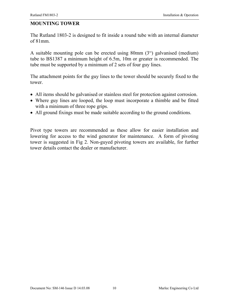#### **MOUNTING TOWER**

The Rutland 1803-2 is designed to fit inside a round tube with an internal diameter of 81mm.

A suitable mounting pole can be erected using 80mm (3") galvanised (medium) tube to BS1387 a minimum height of 6.5m, 10m or greater is recommended. The tube must be supported by a minimum of 2 sets of four guy lines.

The attachment points for the guy lines to the tower should be securely fixed to the tower.

- All items should be galvanised or stainless steel for protection against corrosion.
- Where guy lines are looped, the loop must incorporate a thimble and be fitted with a minimum of three rope grips.
- All ground fixings must be made suitable according to the ground conditions.

Pivot type towers are recommended as these allow for easier installation and lowering for access to the wind generator for maintenance. A form of pivoting tower is suggested in Fig 2. Non-guyed pivoting towers are available, for further tower details contact the dealer or manufacturer.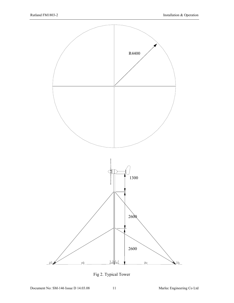

Fig 2. Typical Tower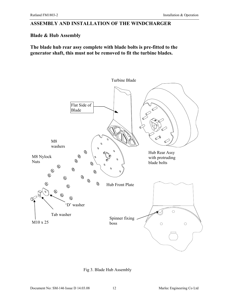#### **ASSEMBLY AND INSTALLATION OF THE WINDCHARGER**

#### **Blade & Hub Assembly**

**The blade hub rear assy complete with blade bolts is pre-fitted to the generator shaft, this must not be removed to fit the turbine blades.** 



Fig 3. Blade Hub Assembly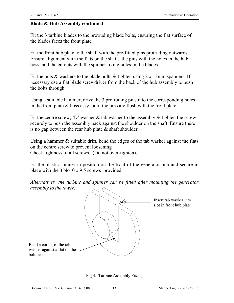#### **Blade & Hub Assembly continued**

Fit the 3 turbine blades to the protruding blade bolts, ensuring the flat surface of the blades faces the front plate.

Fit the front hub plate to the shaft with the pre-fitted pins protruding outwards. Ensure alignment with the flats on the shaft, the pins with the holes in the hub boss, and the cutouts with the spinner fixing holes in the blades.

Fit the nuts & washers to the blade bolts & tighten using  $2 \times 13$ mm spanners. If necessary use a flat blade screwdriver from the back of the hub assembly to push the bolts through.

Using a suitable hammer, drive the 3 protruding pins into the corresponding holes in the front plate  $\&$  boss assy, until the pins are flush with the front plate.

Fit the centre screw, 'D' washer  $\&$  tab washer to the assembly  $\&$  tighten the screw securely to push the assembly back against the shoulder on the shaft. Ensure there is no gap between the rear hub plate  $\&$  shaft shoulder.

Using a hammer & suitable drift, bend the edges of the tab washer against the flats on the centre screw to prevent loosening. Check tightness of all screws. (Do not over-tighten).

Fit the plastic spinner in position on the front of the generator hub and secure in place with the 3 No10 x 9.5 screws provided.

*Alternatively the turbine and spinner can be fitted after mounting the generator assembly to the tower*.



Fig 4. Turbine Assembly Fixing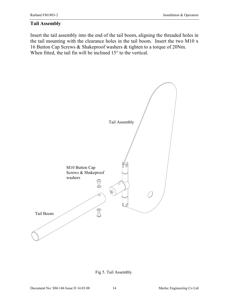#### **Tail Assembly**

Insert the tail assembly into the end of the tail boom, aligning the threaded holes in the tail mounting with the clearance holes in the tail boom. Insert the two M10 x 16 Button Cap Screws & Shakeproof washers & tighten to a torque of 20Nm. When fitted, the tail fin will be inclined 15° to the vertical.

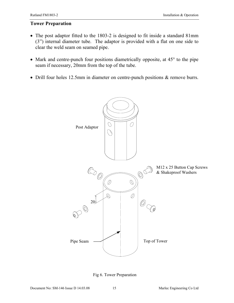#### **Tower Preparation**

- The post adaptor fitted to the 1803-2 is designed to fit inside a standard 81mm (3") internal diameter tube. The adaptor is provided with a flat on one side to clear the weld seam on seamed pipe.
- Mark and centre-punch four positions diametrically opposite, at 45<sup>°</sup> to the pipe seam if necessary, 20mm from the top of the tube.
- Drill four holes 12.5mm in diameter on centre-punch positions & remove burrs.



Fig 6. Tower Preparation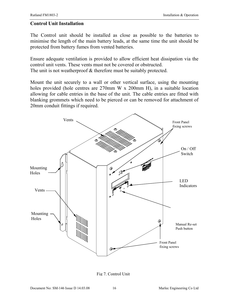#### **Control Unit Installation**

The Control unit should be installed as close as possible to the batteries to minimise the length of the main battery leads, at the same time the unit should be protected from battery fumes from vented batteries.

Ensure adequate ventilation is provided to allow efficient heat dissipation via the control unit vents. These vents must not be covered or obstructed. The unit is not weatherproof & therefore must be suitably protected.

Mount the unit securely to a wall or other vertical surface, using the mounting holes provided (hole centres are 270mm W x 200mm H), in a suitable location allowing for cable entries in the base of the unit. The cable entries are fitted with blanking grommets which need to be pierced or can be removed for attachment of 20mm conduit fittings if required.



Fig 7. Control Unit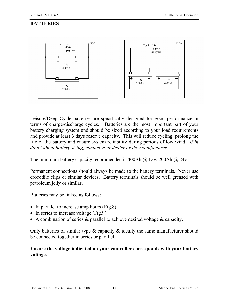# **BATTERIES**



Leisure/Deep Cycle batteries are specifically designed for good performance in terms of charge/discharge cycles. Batteries are the most important part of your battery charging system and should be sized according to your load requirements and provide at least 3 days reserve capacity. This will reduce cycling, prolong the life of the battery and ensure system reliability during periods of low wind. *If in doubt about battery sizing, contact your dealer or the manufacturer.* 

The minimum battery capacity recommended is 400Ah  $\omega$  12v, 200Ah  $\omega$  24v

Permanent connections should always be made to the battery terminals. Never use crocodile clips or similar devices. Battery terminals should be well greased with petroleum jelly or similar.

Batteries may be linked as follows:

- In parallel to increase amp hours (Fig.8).
- In series to increase voltage (Fig.9).
- A combination of series & parallel to achieve desired voltage & capacity.

Only batteries of similar type & capacity & ideally the same manufacturer should be connected together in series or parallel.

#### **Ensure the voltage indicated on your controller corresponds with your battery voltage.**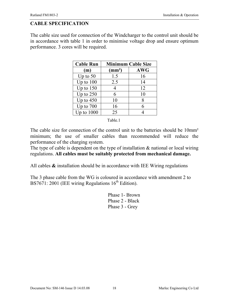# **CABLE SPECIFICATION**

The cable size used for connection of the Windcharger to the control unit should be in accordance with table 1 in order to minimise voltage drop and ensure optimum performance. 3 cores will be required.

| <b>Cable Run</b> | <b>Minimum Cable Size</b> |            |  |  |  |
|------------------|---------------------------|------------|--|--|--|
| (m)              | $\text{(mm}^2)$           | <b>AWG</b> |  |  |  |
| Up to $50$       | 1.5                       | 16         |  |  |  |
| Up to $100$      | 2.5                       | 14         |  |  |  |
| Up to $150$      |                           | 12         |  |  |  |
| Up to $250$      | 6                         | 10         |  |  |  |
| Up to $450$      | 10                        | 8          |  |  |  |
| Up to $700$      | 16                        | 6          |  |  |  |
| Up to $1000$     | 25                        |            |  |  |  |

Table.1

The cable size for connection of the control unit to the batteries should be 10mm<sup>2</sup> minimum; the use of smaller cables than recommended will reduce the performance of the charging system.

The type of cable is dependent on the type of installation  $\&$  national or local wiring regulations. **All cables must be suitably protected from mechanical damage.**

All cables **&** installation should be in accordance with IEE Wiring regulations

The 3 phase cable from the WG is coloured in accordance with amendment 2 to BS7671: 2001 (IEE wiring Regulations  $16<sup>th</sup>$  Edition).

> Phase 1- Brown Phase 2 - Black Phase 3 - Grey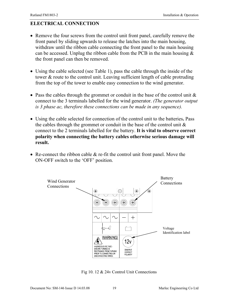# **ELECTRICAL CONNECTION**

- Remove the four screws from the control unit front panel, carefully remove the front panel by sliding upwards to release the latches into the main housing, withdraw until the ribbon cable connecting the front panel to the main housing can be accessed. Unplug the ribbon cable from the PCB in the main housing  $\&$ the front panel can then be removed.
- Using the cable selected (see Table 1), pass the cable through the inside of the tower & route to the control unit. Leaving sufficient length of cable protruding from the top of the tower to enable easy connection to the wind generator.
- Pass the cables through the grommet or conduit in the base of the control unit  $\&$ connect to the 3 terminals labelled for the wind generator. *(The generator output is 3 phase ac, therefore these connections can be made in any sequence).*
- Using the cable selected for connection of the control unit to the batteries**.** Pass the cables through the grommet or conduit in the base of the control unit  $\&$ connect to the 2 terminals labelled for the battery. **It is vital to observe correct polarity when connecting the battery cables otherwise serious damage will result.**
- Re-connect the ribbon cable  $\&$  re-fit the control unit front panel. Move the ON-OFF switch to the 'OFF' position.



Fig 10. 12 & 24v Control Unit Connections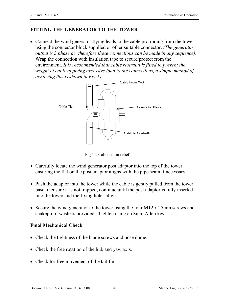#### **FITTING THE GENERATOR TO THE TOWER**

• Connect the wind generator flying leads to the cable protruding from the tower using the connector block supplied or other suitable connector. *(The generator output is 3 phase ac, therefore these connections can be made in any sequence)*. Wrap the connection with insulation tape to secure/protect from the environment. *It is recommended that cable restraint is fitted to prevent the weight of cable applying excessive load to the connections, a simple method of achieving this is shown in Fig 11.*



Fig 11. Cable strain relief

- Carefully locate the wind generator post adaptor into the top of the tower ensuring the flat on the post adaptor aligns with the pipe seam if necessary.
- Push the adaptor into the tower while the cable is gently pulled from the tower base to ensure it is not trapped, continue until the post adaptor is fully inserted into the tower and the fixing holes align.
- Secure the wind generator to the tower using the four M12 x 25mm screws and shakeproof washers provided. Tighten using an 8mm Allen key.

# **Final Mechanical Check**

- Check the tightness of the blade screws and nose dome.
- Check the free rotation of the hub and yaw axis.
- Check for free movement of the tail fin.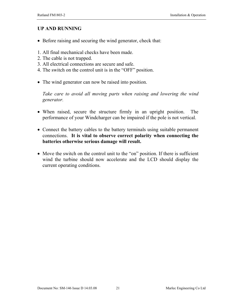#### **UP AND RUNNING**

- Before raising and securing the wind generator, check that:
- 1. All final mechanical checks have been made.
- 2. The cable is not trapped.
- 3. All electrical connections are secure and safe.
- 4. The switch on the control unit is in the "OFF" position.
- The wind generator can now be raised into position.

*Take care to avoid all moving parts when raising and lowering the wind generator.*

- When raised, secure the structure firmly in an upright position. The performance of your Windcharger can be impaired if the pole is not vertical.
- Connect the battery cables to the battery terminals using suitable permanent connections. **It is vital to observe correct polarity when connecting the batteries otherwise serious damage will result.**
- Move the switch on the control unit to the "on" position. If there is sufficient wind the turbine should now accelerate and the LCD should display the current operating conditions.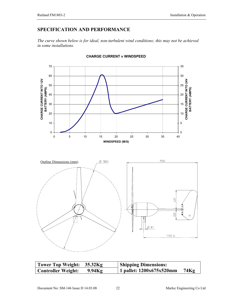#### **SPECIFICATION AND PERFORMANCE**

*The curve shown below is for ideal, non-turbulent wind conditions; this may not be achieved in some installations.*



#### **CHARGE CURRENT v WINDSPEED**

| $\frac{1}{2}$<br>427<br>٩H<br>г<br>п<br>П<br>26<br>$\circ$<br>ł<br>$\emptyset$ 81<br>-12<br>1145.0 |  |
|----------------------------------------------------------------------------------------------------|--|
|----------------------------------------------------------------------------------------------------|--|

| Tower Top Weight: 35.32Kg |           | <b>Shipping Dimensions:</b> |      |
|---------------------------|-----------|-----------------------------|------|
| Controller Weight:        | $9.94$ Kg | 1 pallet: $1200x675x520mm$  | 74Kg |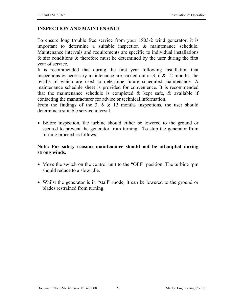### **INSPECTION AND MAINTENANCE**

To ensure long trouble free service from your 1803-2 wind generator, it is important to determine a suitable inspection & maintenance schedule. Maintenance intervals and requirements are specific to individual installations & site conditions & therefore must be determined by the user during the first year of service.

It is recommended that during the first year following installation that inspections  $\&$  necessary maintenance are carried out at 3, 6  $\&$  12 months, the results of which are used to determine future scheduled maintenance. A maintenance schedule sheet is provided for convenience. It is recommended that the maintenance schedule is completed  $\&$  kept safe,  $\&$  available if contacting the manufacturer for advice or technical information.

From the findings of the 3, 6  $\&$  12 months inspections, the user should determine a suitable service interval.

• Before inspection, the turbine should either be lowered to the ground or secured to prevent the generator from turning. To stop the generator from turning proceed as follows:

### **Note: For safety reasons maintenance should not be attempted during strong winds.**

- Move the switch on the control unit to the "OFF" position. The turbine rpm should reduce to a slow idle.
- Whilst the generator is in "stall" mode, it can be lowered to the ground or blades restrained from turning.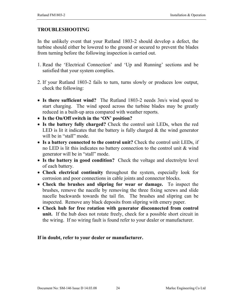#### **TROUBLESHOOTING**

In the unlikely event that your Rutland 1803-2 should develop a defect, the turbine should either be lowered to the ground or secured to prevent the blades from turning before the following inspection is carried out.

- 1. Read the 'Electrical Connection' and 'Up and Running' sections and be satisfied that your system complies.
- 2. If your Rutland 1803-2 fails to turn, turns slowly or produces low output, check the following:
- **Is there sufficient wind?** The Rutland 1803-2 needs 3m/s wind speed to start charging. The wind speed across the turbine blades may be greatly reduced in a built-up area compared with weather reports.
- **Is the On/Off switch in the 'ON' position?**
- **Is the battery fully charged?** Check the control unit LEDs, when the red LED is lit it indicates that the battery is fully charged  $\&$  the wind generator will be in "stall" mode.
- Is a battery connected to the control unit? Check the control unit LEDs, if no LED is lit this indicates no battery connection to the control unit & wind generator will be in "stall" mode.
- **Is the battery in good condition?** Check the voltage and electrolyte level of each battery.
- **Check electrical continuity** throughout the system, especially look for corrosion and poor connections in cable joints and connector blocks.
- **Check the brushes and slipring for wear or damage.** To inspect the brushes, remove the nacelle by removing the three fixing screws and slide nacelle backwards towards the tail fin. The brushes and slipring can be inspected. Remove any black deposits from slipring with emery paper.
- **Check hub for free rotation with generator disconnected from control unit.** If the hub does not rotate freely, check for a possible short circuit in the wiring. If no wiring fault is found refer to your dealer or manufacturer.

#### **If in doubt, refer to your dealer or manufacturer.**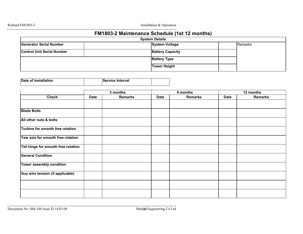Rutland FM1803-2 Installation & Operation

# **FM1803-2 Maintenance Schedule (1st 12 months)**

|                                   | <b>System Details</b> |                         |  |         |  |  |
|-----------------------------------|-----------------------|-------------------------|--|---------|--|--|
| <b>Generator Serial Number</b>    |                       | <b>System Voltage</b>   |  | Remarks |  |  |
| <b>Control Unit Serial Number</b> |                       | <b>Battery Capacity</b> |  |         |  |  |
|                                   |                       | <b>Battery Type</b>     |  |         |  |  |
|                                   |                       | Tower Height            |  |         |  |  |

| Date of Installation | <b>Service Interval</b> |  |
|----------------------|-------------------------|--|

|                                     | 3 months    |                |             | 6 months |             | 12 months      |  |
|-------------------------------------|-------------|----------------|-------------|----------|-------------|----------------|--|
| <b>Check</b>                        | <b>Date</b> | <b>Remarks</b> | <b>Date</b> | Remarks  | <b>Date</b> | <b>Remarks</b> |  |
|                                     |             |                |             |          |             |                |  |
| <b>Blade Bolts</b>                  |             |                |             |          |             |                |  |
| All other nuts & bolts              |             |                |             |          |             |                |  |
| Turbine for smooth free rotation    |             |                |             |          |             |                |  |
| Yaw axis for smooth free rotation   |             |                |             |          |             |                |  |
| Tail hinge for smooth free rotation |             |                |             |          |             |                |  |
| <b>General Condition</b>            |             |                |             |          |             |                |  |
| Tower assembly condition            |             |                |             |          |             |                |  |
| Guy wire tension (if applicable)    |             |                |             |          |             |                |  |
|                                     |             |                |             |          |             |                |  |
|                                     |             |                |             |          |             |                |  |

Document No: SM-146 Issue D 14.03.08 Marle Co Ltd 25 Engineering Co Ltd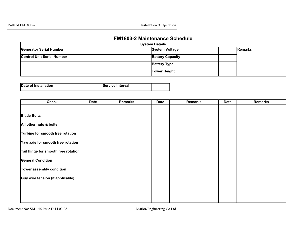Rutland FM1803-2 Installation & Operation

#### **FM1803-2 Maintenance Schedule**

|                                   | <b>System Details</b> |                         |  |         |  |  |
|-----------------------------------|-----------------------|-------------------------|--|---------|--|--|
| <b>Generator Serial Number</b>    |                       | <b>System Voltage</b>   |  | Remarks |  |  |
| <b>Control Unit Serial Number</b> |                       | <b>Battery Capacity</b> |  |         |  |  |
|                                   |                       | <b>Battery Type</b>     |  |         |  |  |
|                                   |                       | <b>Tower Height</b>     |  |         |  |  |

| Date of Installation | <b>Service Interval</b> |  |
|----------------------|-------------------------|--|
|                      |                         |  |

| <b>Check</b>                        | <b>Date</b> | <b>Remarks</b> | <b>Date</b> | <b>Remarks</b> | <b>Date</b> | <b>Remarks</b> |
|-------------------------------------|-------------|----------------|-------------|----------------|-------------|----------------|
|                                     |             |                |             |                |             |                |
| <b>Blade Bolts</b>                  |             |                |             |                |             |                |
| All other nuts & bolts              |             |                |             |                |             |                |
| Turbine for smooth free rotation    |             |                |             |                |             |                |
| Yaw axis for smooth free rotation   |             |                |             |                |             |                |
| Tail hinge for smooth free rotation |             |                |             |                |             |                |
| <b>General Condition</b>            |             |                |             |                |             |                |
| Tower assembly condition            |             |                |             |                |             |                |
| Guy wire tension (if applicable)    |             |                |             |                |             |                |
|                                     |             |                |             |                |             |                |
|                                     |             |                |             |                |             |                |

Document No: SM-146 Issue D 14.03.08 Marle Co Ltd 26 Engineering Co Ltd